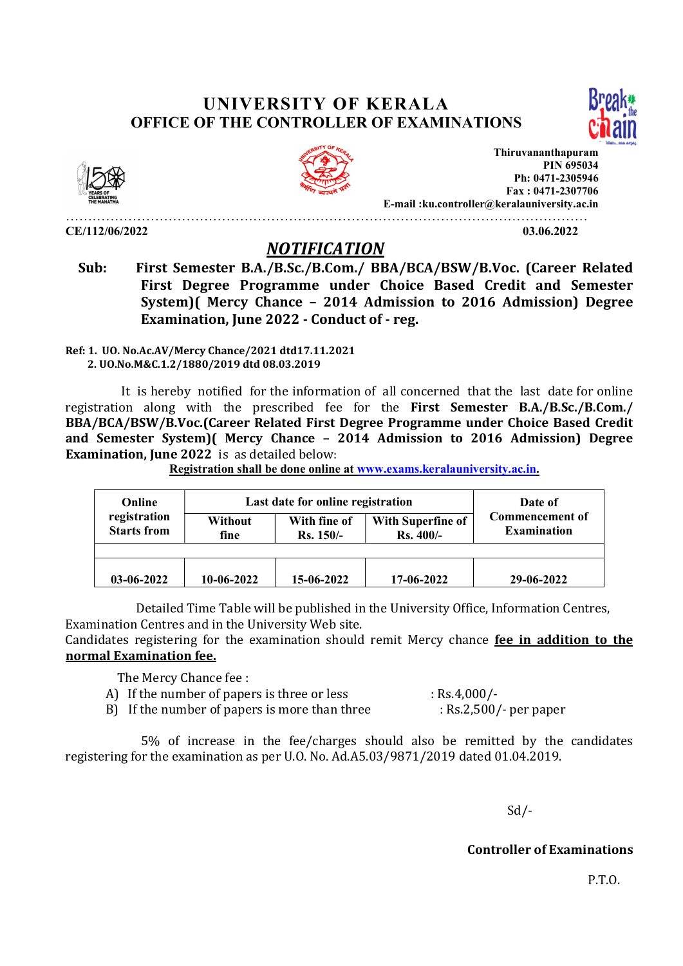## UNIVERSITY OF KERALA OFFICE OF THE CONTROLLER OF EXAMINATIONS





CE/112/06/2022 03.06.2022

Thiruvananthapuram **PIN 695034** Ph: 0471-2305946 Fax : 0471-2307706 E-mail :ku.controller@keralauniversity.ac.in

………………………………………………………………………………………………………

## NOTIFICATION

 Sub: First Semester B.A./B.Sc./B.Com./ BBA/BCA/BSW/B.Voc. (Career Related First Degree Programme under Choice Based Credit and Semester System)( Mercy Chance – 2014 Admission to 2016 Admission) Degree Examination, June 2022 - Conduct of - reg.

Ref: 1. UO. No.Ac.AV/Mercy Chance/2021 dtd17.11.2021 2. UO.No.M&C.1.2/1880/2019 dtd 08.03.2019

 It is hereby notified for the information of all concerned that the last date for online registration along with the prescribed fee for the First Semester B.A./B.Sc./B.Com./ BBA/BCA/BSW/B.Voc.(Career Related First Degree Programme under Choice Based Credit and Semester System)( Mercy Chance – 2014 Admission to 2016 Admission) Degree Examination, June 2022 is as detailed below:

Registration shall be done online at www.exams.keralauniversity.ac.in.

| Online                             | Last date for online registration |                             |                                 | Date of                                      |
|------------------------------------|-----------------------------------|-----------------------------|---------------------------------|----------------------------------------------|
| registration<br><b>Starts from</b> | Without<br>fine                   | With fine of<br>$Rs. 150/-$ | With Superfine of<br>$Rs.400/-$ | <b>Commencement of</b><br><b>Examination</b> |
|                                    |                                   |                             |                                 |                                              |
| 03-06-2022                         | $10-06-2022$                      | 15-06-2022                  | 17-06-2022                      | 29-06-2022                                   |

 Detailed Time Table will be published in the University Office, Information Centres, Examination Centres and in the University Web site.

Candidates registering for the examination should remit Mercy chance fee in addition to the normal Examination fee.

The Mercy Chance fee :

- A) If the number of papers is three or less : Rs.4,000/-
- B) If the number of papers is more than three : Rs.2,500/- per paper

 5% of increase in the fee/charges should also be remitted by the candidates registering for the examination as per U.O. No. Ad.A5.03/9871/2019 dated 01.04.2019.

Sd/-

## Controller of Examinations

P.T.O.